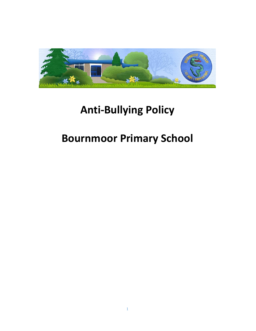

# **Anti-Bullying Policy**

# **Bournmoor Primary School**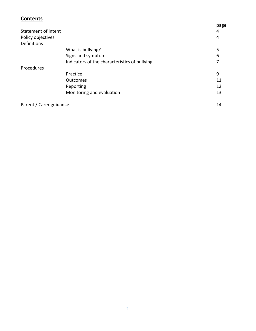#### **Contents**

|                         |                                               | page |
|-------------------------|-----------------------------------------------|------|
| Statement of intent     |                                               | 4    |
| Policy objectives       |                                               | 4    |
| Definitions             |                                               |      |
|                         | What is bullying?                             | 5    |
|                         | Signs and symptoms                            | 6    |
|                         | Indicators of the characteristics of bullying |      |
| Procedures              |                                               |      |
|                         | Practice                                      | 9    |
|                         | <b>Outcomes</b>                               | 11   |
|                         | Reporting                                     | 12   |
|                         | Monitoring and evaluation                     | 13   |
| Parent / Carer guidance |                                               | 14   |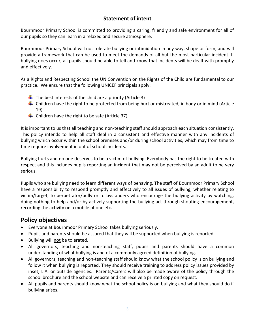## **Statement of intent**

Bournmoor Primary School is committed to providing a caring, friendly and safe environment for all of our pupils so they can learn in a relaxed and secure atmosphere.

Bournmoor Primary School will not tolerate bullying or intimidation in any way, shape or form, and will provide a framework that can be used to meet the demands of all but the most particular incident. If bullying does occur, all pupils should be able to tell and know that incidents will be dealt with promptly and effectively.

As a Rights and Respecting School the UN Convention on the Rights of the Child are fundamental to our practice. We ensure that the following UNICEF principals apply:

- $\downarrow$  The best interests of the child are a priority (Article 3)
- $\ddot{\phantom{1}}$  Children have the right to be protected from being hurt or mistreated, in body or in mind (Article 19)
- $\downarrow$  Children have the right to be safe (Article 37)

It is important to us that all teaching and non-teaching staff should approach each situation consistently. This policy intends to help all staff deal in a consistent and effective manner with any incidents of bullying which occur within the school premises and/or during school activities, which may from time to time require involvement in out of school incidents.

Bullying hurts and no one deserves to be a victim of bullying. Everybody has the right to be treated with respect and this includes pupils reporting an incident that may not be perceived by an adult to be very serious.

Pupils who are bullying need to learn different ways of behaving. The staff of Bournmoor Primary School have a responsibility to respond promptly and effectively to all issues of bullying, whether relating to victim/target, to perpetrator/bully or to bystanders who encourage the bullying activity by watching, doing nothing to help and/or by actively supporting the bullying act through shouting encouragement, recording the activity on a mobile phone etc.

## **Policy objectives**

- Everyone at Bournmoor Primary School takes bullying seriously.
- Pupils and parents should be assured that they will be supported when bullying is reported.
- Bullying will not be tolerated.
- All governors, teaching and non-teaching staff, pupils and parents should have a common understanding of what bullying is and of a commonly agreed definition of bullying.
- All governors, teaching and non-teaching staff should know what the school policy is on bullying and follow it when bullying is reported. They should receive training to address policy issues provided by inset, L.A. or outside agencies. Parents/Carers will also be made aware of the policy through the school brochure and the school website and can receive a printed copy on request.
- All pupils and parents should know what the school policy is on bullying and what they should do if bullying arises.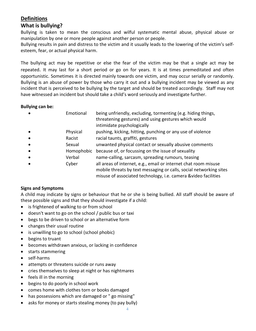## **Definitions**

### **What is bullying?**

Bullying is taken to mean the conscious and wilful systematic mental abuse, physical abuse or manipulation by one or more people against another person or people.

Bullying results in pain and distress to the victim and it usually leads to the lowering of the victim's selfesteem, fear, or actual physical harm.

The bullying act may be repetitive or else the fear of the victim may be that a single act may be repeated. It may last for a short period or go on for years. It is at times premeditated and often opportunistic. Sometimes it is directed mainly towards one victim, and may occur serially or randomly. Bullying is an abuse of power by those who carry it out and a bullying incident may be viewed as any incident that is perceived to be bullying by the target and should be treated accordingly. Staff may not have witnessed an incident but should take a child's word seriously and investigate further.

#### **Bullying can be:**

| pushing, kicking, hitting, punching or any use of violence<br>Physical<br>$\bullet$<br>racial taunts, graffiti, gestures<br>Racist<br>$\bullet$<br>unwanted physical contact or sexually abusive comments<br>Sexual<br>$\bullet$<br>because of, or focussing on the issue of sexuality<br>Homophobic<br>$\bullet$<br>name-calling, sarcasm, spreading rumours, teasing<br>Verbal<br>$\bullet$<br>all areas of internet, e.g., email or internet chat room misuse<br>Cyber<br>$\bullet$<br>misuse of associated technology, i.e. camera &video facilities | $\bullet$ | Emotional | being unfriendly, excluding, tormenting (e.g. hiding things,<br>threatening gestures) and using gestures which would<br>intimidate psychologically |
|----------------------------------------------------------------------------------------------------------------------------------------------------------------------------------------------------------------------------------------------------------------------------------------------------------------------------------------------------------------------------------------------------------------------------------------------------------------------------------------------------------------------------------------------------------|-----------|-----------|----------------------------------------------------------------------------------------------------------------------------------------------------|
|                                                                                                                                                                                                                                                                                                                                                                                                                                                                                                                                                          |           |           |                                                                                                                                                    |
|                                                                                                                                                                                                                                                                                                                                                                                                                                                                                                                                                          |           |           |                                                                                                                                                    |
|                                                                                                                                                                                                                                                                                                                                                                                                                                                                                                                                                          |           |           |                                                                                                                                                    |
|                                                                                                                                                                                                                                                                                                                                                                                                                                                                                                                                                          |           |           |                                                                                                                                                    |
|                                                                                                                                                                                                                                                                                                                                                                                                                                                                                                                                                          |           |           |                                                                                                                                                    |
|                                                                                                                                                                                                                                                                                                                                                                                                                                                                                                                                                          |           |           | mobile threats by text messaging or calls, social networking sites                                                                                 |

#### **Signs and Symptoms**

A child may indicate by signs or behaviour that he or she is being bullied. All staff should be aware of these possible signs and that they should investigate if a child:

- is frightened of walking to or from school
- doesn't want to go on the school / public bus or taxi
- begs to be driven to school or an alternative form
- changes their usual routine
- is unwilling to go to school (school phobic)
- begins to truant
- becomes withdrawn anxious, or lacking in confidence
- starts stammering
- self-harms
- attempts or threatens suicide or runs away
- cries themselves to sleep at night or has nightmares
- feels ill in the morning
- begins to do poorly in school work
- comes home with clothes torn or books damaged
- has possessions which are damaged or " go missing"
- asks for money or starts stealing money (to pay bully)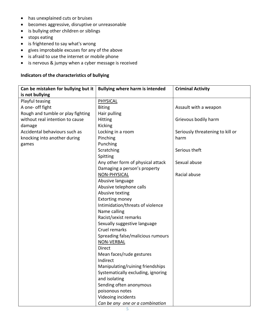- has unexplained cuts or bruises
- becomes aggressive, disruptive or unreasonable
- is bullying other children or siblings
- stops eating
- is frightened to say what's wrong
- gives improbable excuses for any of the above
- is afraid to use the internet or mobile phone
- is nervous & jumpy when a cyber message is received

#### **Indicators of the characteristics of bullying**

| Can be mistaken for bullying but it | <b>Bullying where harm is intended</b> | <b>Criminal Activity</b>         |  |
|-------------------------------------|----------------------------------------|----------------------------------|--|
| is not bullying                     |                                        |                                  |  |
| Playful teasing                     | PHYSICAL                               |                                  |  |
| A one- off fight                    | <b>Biting</b>                          | Assault with a weapon            |  |
| Rough and tumble or play fighting   | Hair pulling                           |                                  |  |
| without real intention to cause     | <b>Hitting</b>                         | Grievous bodily harm             |  |
| damage                              | Kicking                                |                                  |  |
| Accidental behaviours such as       | Locking in a room                      | Seriously threatening to kill or |  |
| knocking into another during        | Pinching                               | harm                             |  |
| games                               | Punching                               |                                  |  |
|                                     | Scratching                             | Serious theft                    |  |
|                                     | Spitting                               |                                  |  |
|                                     | Any other form of physical attack      | Sexual abuse                     |  |
|                                     | Damaging a person's property           |                                  |  |
|                                     | NON-PHYSICAL                           | Racial abuse                     |  |
|                                     | Abusive language                       |                                  |  |
|                                     | Abusive telephone calls                |                                  |  |
|                                     | Abusive texting                        |                                  |  |
|                                     | <b>Extorting money</b>                 |                                  |  |
|                                     | Intimidation/threats of violence       |                                  |  |
|                                     | Name calling                           |                                  |  |
|                                     | Racist/sexist remarks                  |                                  |  |
|                                     | Sexually suggestive language           |                                  |  |
|                                     | Cruel remarks                          |                                  |  |
|                                     | Spreading false/malicious rumours      |                                  |  |
|                                     | <b>NON-VERBAL</b>                      |                                  |  |
|                                     | <b>Direct</b>                          |                                  |  |
|                                     | Mean faces/rude gestures               |                                  |  |
|                                     | Indirect                               |                                  |  |
|                                     | Manipulating/ruining friendships       |                                  |  |
|                                     | Systematically excluding, ignoring     |                                  |  |
|                                     | and isolating                          |                                  |  |
|                                     | Sending often anonymous                |                                  |  |
|                                     | poisonous notes                        |                                  |  |
|                                     | Videoing incidents                     |                                  |  |
|                                     | Can be any one or a combination        |                                  |  |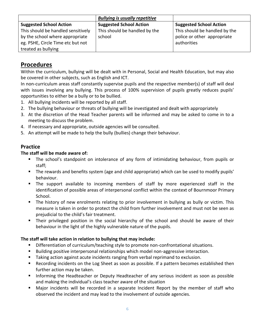|                                    | <b>Bullying is usually repetitive</b> |                                |
|------------------------------------|---------------------------------------|--------------------------------|
| <b>Suggested School Action</b>     | <b>Suggested School Action</b>        | <b>Suggested School Action</b> |
| This should be handled sensitively | This should be handled by the         | This should be handled by the  |
| by the school where appropriate    | school                                | police or other appropriate    |
| eg. PSHE, Circle Time etc but not  |                                       | authorities                    |
| treated as bullying                |                                       |                                |

## **Procedures**

Within the curriculum, bullying will be dealt with in Personal, Social and Health Education, but may also be covered in other subjects, such as English and ICT.

In non-curriculum areas staff constantly supervise pupils and the respective member(s) of staff will deal with issues involving any bullying. This process of 100% supervision of pupils greatly reduces pupils' opportunities to either be a bully or to be bullied.

- 1. All bullying incidents will be reported by all staff.
- 2. The bullying behaviour or threats of bullying will be investigated and dealt with appropriately
- 3. At the discretion of the Head Teacher parents will be informed and may be asked to come in to a meeting to discuss the problem.
- 4. If necessary and appropriate, outside agencies will be consulted.
- 5. An attempt will be made to help the bully (bullies) change their behaviour.

#### **Practice**

#### **The staff will be made aware of:**

- **•** The school's standpoint on intolerance of any form of intimidating behaviour, from pupils or staff;
- The rewards and benefits system (age and child appropriate) which can be used to modify pupils' behaviour.
- The support available to incoming members of staff by more experienced staff in the identification of possible areas of interpersonal conflict within the context of Bournmoor Primary School.
- The history of new enrolments relating to prior involvement in bullying as bully or victim. This measure is taken in order to protect the child from further involvement and must not be seen as prejudicial to the child's fair treatment.
- **EXTHE 10** Their privileged position in the social hierarchy of the school and should be aware of their behaviour in the light of the highly vulnerable nature of the pupils.

#### **The staff will take action in relation to bullying that may include:**

- **•** Differentiation of curriculum/teaching style to promote non-confrontational situations.
- Building positive interpersonal relationships which model non-aggressive interaction.
- Taking action against acute incidents ranging from verbal reprimand to exclusion.
- Recording incidents on the Log Sheet as soon as possible. If a pattern becomes established then further action may be taken.
- **EXT** Informing the Headteacher or Deputy Headteacher of any serious incident as soon as possible and making the individual's class teacher aware of the situation
- Major incidents will be recorded in a separate Incident Report by the member of staff who observed the incident and may lead to the involvement of outside agencies.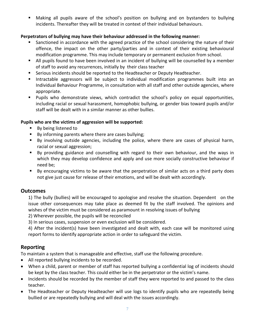■ Making all pupils aware of the school's position on bullying and on bystanders to bullying incidents. Thereafter they will be treated in context of their individual behaviours.

#### **Perpetrators of bullying may have their behaviour addressed in the following manner:**

- Sanctioned in accordance with the agreed practice of the school considering the nature of their offence, the impact on the other party/parties and in context of their existing behavioural modification programme. This may include temporary or permanent exclusion from school.
- All pupils found to have been involved in an incident of bullying will be counselled by a member of staff to avoid any recurrences, initially by their class teacher
- **EXE** Serious incidents should be reported to the Headteacher or Deputy Headteacher.
- Intractable aggressors will be subject to individual modification programmes built into an Individual Behaviour Programme, in consultation with all staff and other outside agencies, where appropriate.
- Pupils who demonstrate views, which contradict the school's policy on equal opportunities, including racial or sexual harassment, homophobic bullying, or gender bias toward pupils and/or staff will be dealt with in a similar manner as other bullies.

#### **Pupils who are the victims of aggression will be supported:**

- By being listened to
- By informing parents where there are cases bullying;
- By involving outside agencies, including the police, where there are cases of physical harm, racial or sexual aggression;
- By providing guidance and counselling with regard to their own behaviour, and the ways in which they may develop confidence and apply and use more socially constructive behaviour if need be;
- By encouraging victims to be aware that the perpetration of similar acts on a third party does not give just cause for release of their emotions, and will be dealt with accordingly.

### **Outcomes**

1) The bully (bullies) will be encouraged to apologise and resolve the situation. Dependent on the issue other consequences may take place as deemed fit by the staff involved. The opinions and wishes of the victim must be considered as paramount in resolving issues of bullying

2) Wherever possible, the pupils will be reconciled

3) In serious cases, suspension or even exclusion will be considered.

4) After the incident(s) have been investigated and dealt with, each case will be monitored using report forms to identify appropriate action in order to safeguard the victim.

### **Reporting**

To maintain a system that is manageable and effective, staff use the following procedure.

- All reported bullying incidents to be recorded.
- When a child, parent or member of staff has reported bullying a confidential log of incidents should be kept by the class teacher. This could either be in the perpetrator or the victim's name.
- Incidents should be recorded by the member of staff they were reported to and passed to the class teacher.
- The Headteacher or Deputy Headteacher will use logs to identify pupils who are repeatedly being bullied or are repeatedly bullying and will deal with the issues accordingly.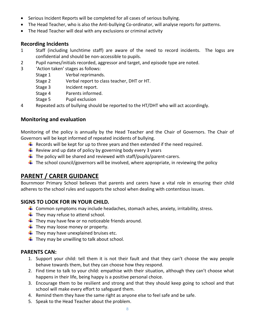- Serious Incident Reports will be completed for all cases of serious bullying.
- The Head Teacher, who is also the Anti-bullying Co-ordinator, will analyse reports for patterns.
- The Head Teacher will deal with any exclusions or criminal activity

#### **Recording Incidents**

- 1 Staff (including lunchtime staff) are aware of the need to record incidents. The logss are confidential and should be non-accessible to pupils.
- 2 Pupil names/initials recorded, aggressor and target, and episode type are noted.
- 3 'Action taken' stages as follows:
	- Stage 1 Verbal reprimands.
	- Stage 2 Verbal report to class teacher, DHT or HT.
	- Stage 3 Incident report.
	- Stage 4 Parents informed.
	- Stage 5 Pupil exclusion
- 4 Repeated acts of bullying should be reported to the HT/DHT who will act accordingly.

#### **Monitoring and evaluation**

Monitoring of the policy is annually by the Head Teacher and the Chair of Governors. The Chair of Governors will be kept informed of repeated incidents of bullying.

- $\ddot{\phantom{1}}$  Records will be kept for up to three years and then extended if the need required.
- $\ddot{+}$  Review and up date of policy by governing body every 3 years
- $\ddot{\phantom{1}}$  The policy will be shared and reviewed with staff/pupils/parent-carers.
- $\ddot{\phantom{1}}$  The school council/governors will be involved, where appropriate, in reviewing the policy

## **PARENT / CARER GUIDANCE**

Bournmoor Primary School believes that parents and carers have a vital role in ensuring their child adheres to the school rules and supports the school when dealing with contentious issues.

### **SIGNS TO LOOK FOR IN YOUR CHILD***.*

- $\ddot{+}$  Common symptoms may include headaches, stomach aches, anxiety, irritability, stress.
- $\ddot{\bullet}$  They may refuse to attend school.
- $\downarrow$  They may have few or no noticeable friends around.
- $\downarrow$  They may loose money or property.
- $\downarrow$  They may have unexplained bruises etc.
- $\downarrow$  They may be unwilling to talk about school.

#### **PARENTS CAN:**

- 1. Support your child: tell them it is not their fault and that they can't choose the way people behave towards them, but they can choose how they respond.
- 2. Find time to talk to your child: empathise with their situation, although they can't choose what happens in their life, being happy is a positive personal choice.
- 3. Encourage them to be resilient and strong and that they should keep going to school and that school will make every effort to safeguard them.
- 4. Remind them they have the same right as anyone else to feel safe and be safe.
- 5. Speak to the Head Teacher about the problem.